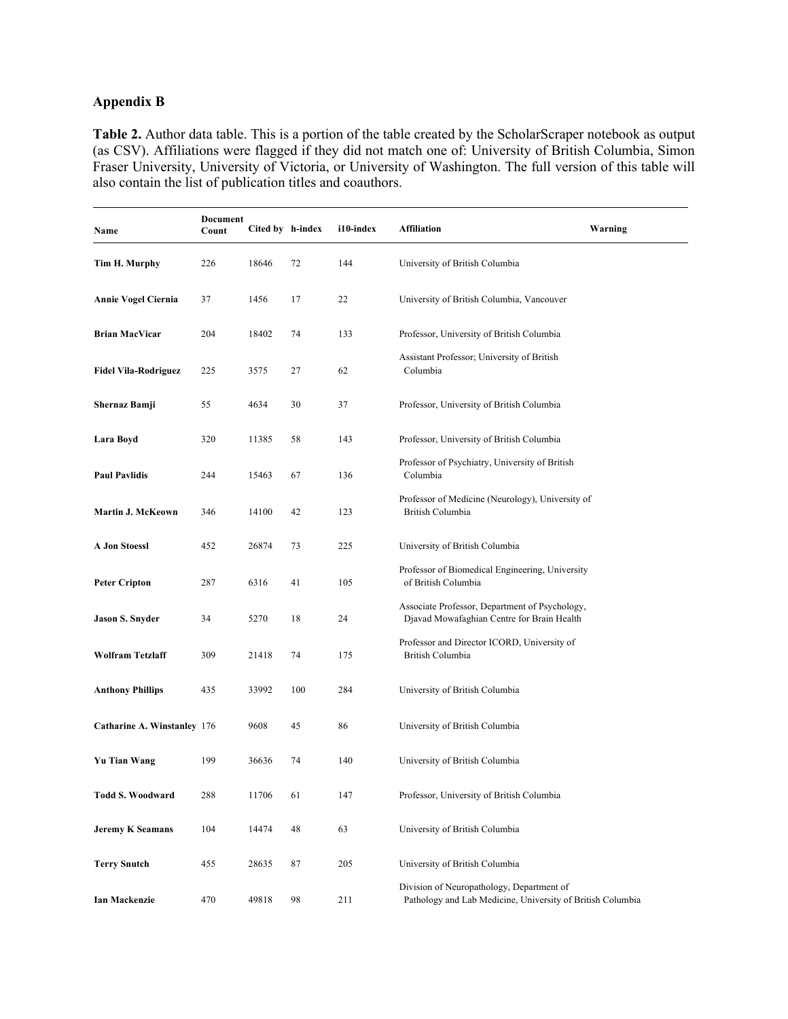## **Appendix B**

**Table 2.** Author data table. This is a portion of the table created by the ScholarScraper notebook as output (as CSV). Affiliations were flagged if they did not match one of: University of British Columbia, Simon Fraser University, University of Victoria, or University of Washington. The full version of this table will also contain the list of publication titles and coauthors.

| Name                        | Document<br>Count | Cited by h-index |     | i10-index | <b>Affiliation</b>                                                                                      | Warning |
|-----------------------------|-------------------|------------------|-----|-----------|---------------------------------------------------------------------------------------------------------|---------|
| Tim H. Murphy               | 226               | 18646            | 72  | 144       | University of British Columbia                                                                          |         |
| Annie Vogel Ciernia         | 37                | 1456             | 17  | 22        | University of British Columbia, Vancouver                                                               |         |
| <b>Brian MacVicar</b>       | 204               | 18402            | 74  | 133       | Professor, University of British Columbia                                                               |         |
| <b>Fidel Vila-Rodriguez</b> | 225               | 3575             | 27  | 62        | Assistant Professor; University of British<br>Columbia                                                  |         |
| Shernaz Bamji               | 55                | 4634             | 30  | 37        | Professor, University of British Columbia                                                               |         |
| Lara Boyd                   | 320               | 11385            | 58  | 143       | Professor, University of British Columbia                                                               |         |
| <b>Paul Pavlidis</b>        | 244               | 15463            | 67  | 136       | Professor of Psychiatry, University of British<br>Columbia                                              |         |
| Martin J. McKeown           | 346               | 14100            | 42  | 123       | Professor of Medicine (Neurology), University of<br>British Columbia                                    |         |
| <b>A Jon Stoessl</b>        | 452               | 26874            | 73  | 225       | University of British Columbia                                                                          |         |
| <b>Peter Cripton</b>        | 287               | 6316             | 41  | 105       | Professor of Biomedical Engineering, University<br>of British Columbia                                  |         |
| Jason S. Snyder             | 34                | 5270             | 18  | 24        | Associate Professor, Department of Psychology,<br>Djavad Mowafaghian Centre for Brain Health            |         |
| <b>Wolfram Tetzlaff</b>     | 309               | 21418            | 74  | 175       | Professor and Director ICORD, University of<br>British Columbia                                         |         |
| <b>Anthony Phillips</b>     | 435               | 33992            | 100 | 284       | University of British Columbia                                                                          |         |
| Catharine A. Winstanley 176 |                   | 9608             | 45  | 86        | University of British Columbia                                                                          |         |
| Yu Tian Wang                | 199               | 36636            | 74  | 140       | University of British Columbia                                                                          |         |
| Todd S. Woodward            | 288               | 11706            | 61  | 147       | Professor, University of British Columbia                                                               |         |
| <b>Jeremy K Seamans</b>     | 104               | 14474            | 48  | 63        | University of British Columbia                                                                          |         |
| <b>Terry Snutch</b>         | 455               | 28635            | 87  | 205       | University of British Columbia                                                                          |         |
| <b>Ian Mackenzie</b>        | 470               | 49818            | 98  | 211       | Division of Neuropathology, Department of<br>Pathology and Lab Medicine, University of British Columbia |         |